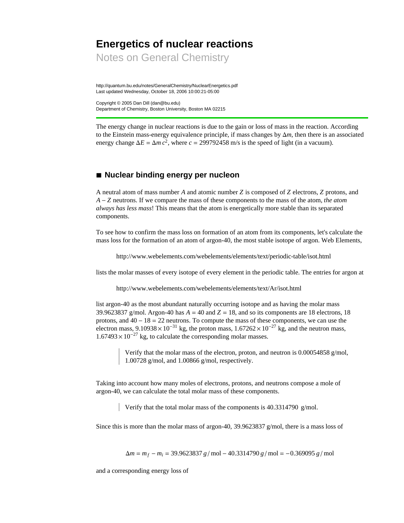## **Energetics of nuclear reactions**

Notes on General Chemistry

http://quantum.bu.edu/notes/GeneralChemistry/NuclearEnergetics.pdf Last updated Wednesday, October 18, 2006 10:00:21-05:00

Copyright © 2005 Dan Dill (dan@bu.edu) Department of Chemistry, Boston University, Boston MA 02215

The energy change in nuclear reactions is due to the gain or loss of mass in the reaction. According to the Einstein mass-energy equivalence principle, if mass changes by  $\Delta m$ , then there is an associated energy change  $\Delta E = \Delta m c^2$ , where  $c = 299792458$  m/s is the speed of light (in a vacuum).

## **à Nuclear binding energy per nucleon**

A neutral atom of mass number *A* and atomic number *Z* is composed of *Z* electrons, *Z* protons, and *A* - *Z* neutrons. If we compare the mass of these components to the mass of the atom, *the atom always has less mass*! This means that the atom is energetically more stable than its separated components.

To see how to confirm the mass loss on formation of an atom from its components, let's calculate the mass loss for the formation of an atom of argon-40, the most stable isotope of argon. Web Elements,

http://www.webelements.com/webelements/elements/text/periodic-table/isot.html

lists the molar masses of every isotope of every element in the periodic table. The entries for argon at

http://www.webelements.com/webelements/elements/text/Ar/isot.html

list argon-40 as the most abundant naturally occurring isotope and as having the molar mass 39.9623837 g/mol. Argon-40 has  $A = 40$  and  $Z = 18$ , and so its components are 18 electrons, 18 protons, and  $40 - 18 = 22$  neutrons. To compute the mass of these components, we can use the electron mass,  $9.10938 \times 10^{-31}$  kg, the proton mass,  $1.67262 \times 10^{-27}$  kg, and the neutron mass,  $1.67493 \times 10^{-27}$  kg, to calculate the corresponding molar masses.

> Verify that the molar mass of the electron, proton, and neutron is 0.00054858 g/mol, 1.00728 g/mol, and 1.00866 g/mol, respectively.

Taking into account how many moles of electrons, protons, and neutrons compose a mole of argon-40, we can calculate the total molar mass of these components.

Verify that the total molar mass of the components is 40.3314790 g/mol.

Since this is more than the molar mass of argon-40, 39.9623837 g/mol, there is a mass loss of

 $\Delta m = m_f - m_i = 39.9623837 g/mol - 40.3314790 g/mol = -0.369095 g/mol$ 

and a corresponding energy loss of